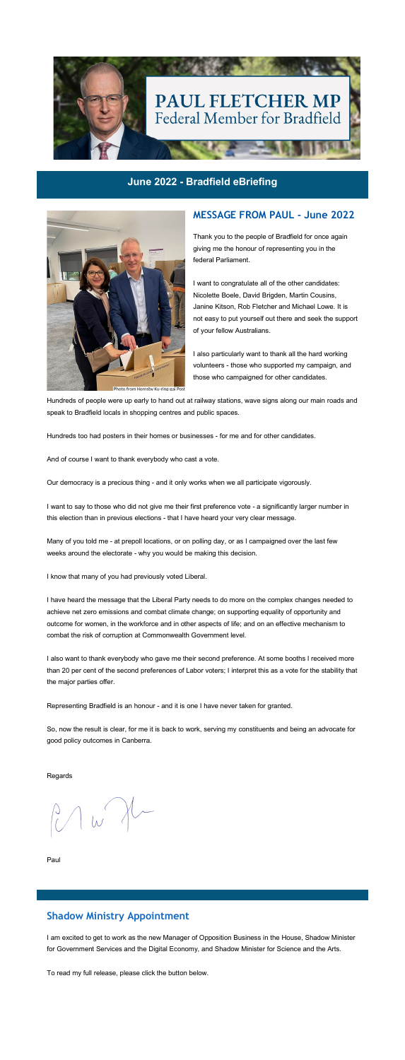

### **June 2022 - Bradfield eBriefing**



Photo from Hornsby Ku-ring-gai Post

### **MESSAGE FROM PAUL - June 2022**

Thank you to the people of Bradfield for once again giving me the honour of representing you in the federal Parliament.

I want to congratulate all of the other candidates: Nicolette Boele, David Brigden, Martin Cousins, Janine Kitson, Rob Fletcher and Michael Lowe. It is not easy to put yourself out there and seek the support of your fellow Australians.

I also particularly want to thank all the hard working volunteers - those who supported my campaign, and those who campaigned for other candidates.

Hundreds of people were up early to hand out at railway stations, wave signs along our main roads and speak to Bradfield locals in shopping centres and public spaces.

Hundreds too had posters in their homes or businesses - for me and for other candidates.

And of course I want to thank everybody who cast a vote.

Our democracy is a precious thing - and it only works when we all participate vigorously.

I want to say to those who did not give me their first preference vote - a significantly larger number in this election than in previous elections - that I have heard your very clear message.

Many of you told me - at prepoll locations, or on polling day, or as I campaigned over the last few weeks around the electorate - why you would be making this decision.

I know that many of you had previously voted Liberal.

I have heard the message that the Liberal Party needs to do more on the complex changes needed to achieve net zero emissions and combat climate change; on supporting equality of opportunity and outcome for women, in the workforce and in other aspects of life; and on an effective mechanism to combat the risk of corruption at Commonwealth Government level.

I also want to thank everybody who gave me their second preference. At some booths I received more than 20 per cent of the second preferences of Labor voters; I interpret this as a vote for the stability that the major parties offer.

Representing Bradfield is an honour - and it is one I have never taken for granted.

So, now the result is clear, for me it is back to work, serving my constituents and being an advocate for good policy outcomes in Canberra.

Regards

Paul

# **Shadow Ministry Appointment**

I am excited to get to work as the new Manager of Opposition Business in the House, Shadow Minister for Government Services and the Digital Economy, and Shadow Minister for Science and the Arts.

To read my full release, please click the button below.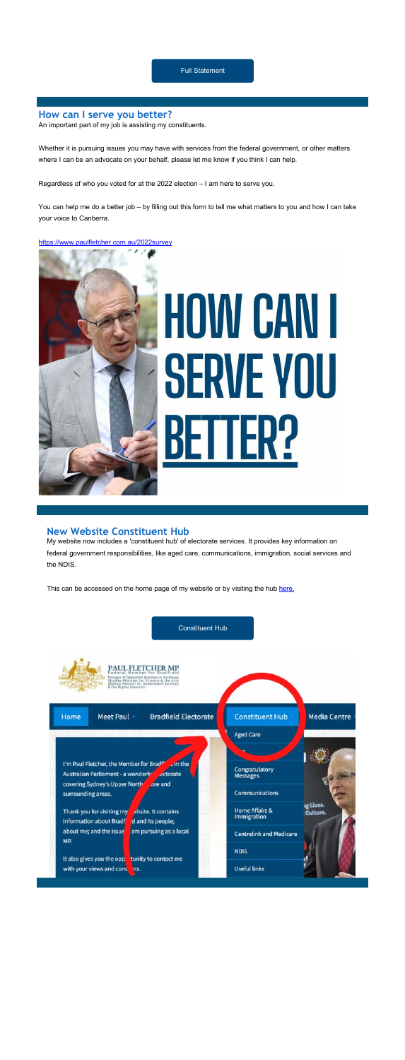### **How can I serve you better?**

Whether it is pursuing issues you may have with services from the federal government, or other matters where I can be an advocate on your behalf, please let me know if you think I can help.

An important part of my job is assisting my constituents.

Regardless of who you voted for at the 2022 election – I am here to serve you.

You can help me do a better job – by filling out this form to tell me what matters to you and how I can take your voice to Canberra.

### [https://www.paulfletcher.com.au/2022survey](https://cust39731.au.v6send.net/ch/39731/2vy4f/2891815/JfqNr8t6Jw70r9KbDVRGkSXhKOjmvJfgXmwWvMuX.html)



# **HOW CAN I** SERVE VOU

### **New Website Constituent Hub**

My website now includes a 'constituent hub' of electorate services. It provides key information on federal government responsibilities, like aged care, communications, immigration, social services and the NDIS.

This can be accessed on the home page of my website or by visiting the hub [here.](https://cust39731.au.v6send.net/ch/39731/2vy4f/2891813/JfqNr8t6Jw70r9KbDVRGStriC.XOazMnRjAe42iD.html)

### [Constituent Hub](https://cust39731.au.v6send.net/ch/39731/2vy4f/2891816/JfqNr8t6Jw70r9KbDVRGhurkjrkLD8PVtSXel6Vy.html)



PAUL FLETCHER MP ion Business in the House<br>for Science & the Arts<br>or Government Services

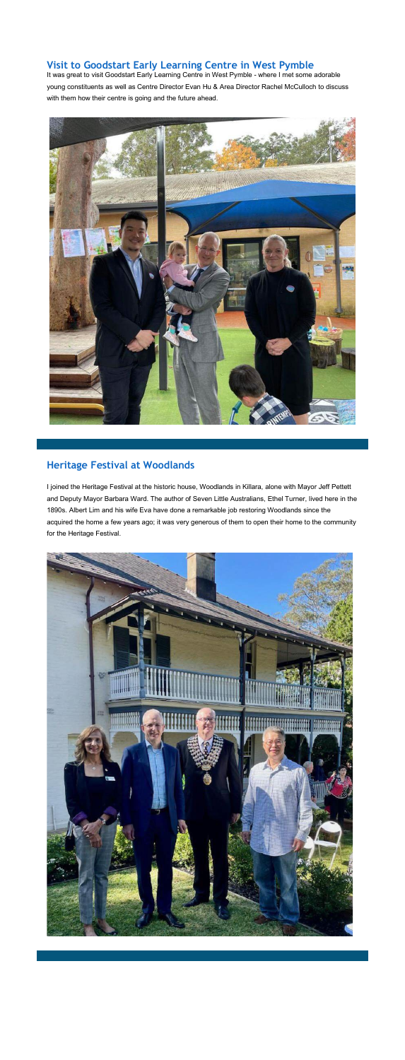# **Visit to Goodstart Early Learning Centre in West Pymble**

It was great to visit Goodstart Early Learning Centre in West Pymble - where I met some adorable young constituents as well as Centre Director Evan Hu & Area Director Rachel McCulloch to discuss with them how their centre is going and the future ahead.



# **Heritage Festival at Woodlands**

I joined the Heritage Festival at the historic house, Woodlands in Killara, alone with Mayor Jeff Pettett and Deputy Mayor Barbara Ward. The author of Seven Little Australians, Ethel Turner, lived here in the 1890s. Albert Lim and his wife Eva have done a remarkable job restoring Woodlands since the acquired the home a few years ago; it was very generous of them to open their home to the community for the Heritage Festival.